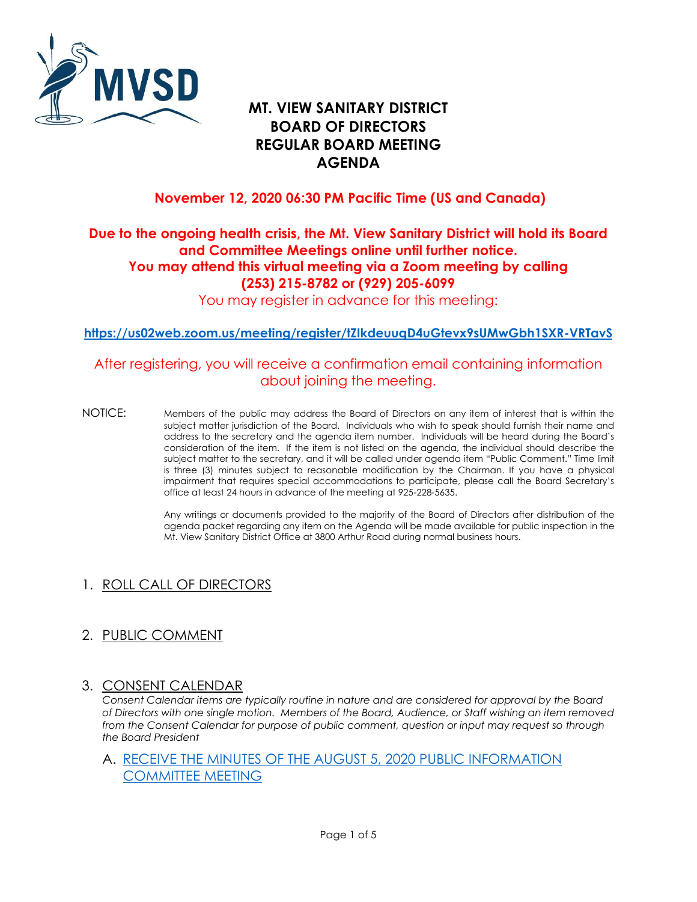

## **MT. VIEW SANITARY DISTRICT BOARD OF DIRECTORS REGULAR BOARD MEETING AGENDA**

## **November 12, 2020 06:30 PM Pacific Time (US and Canada)**

## **Due to the ongoing health crisis, the Mt. View Sanitary District will hold its Board and Committee Meetings online until further notice. You may attend this virtual meeting via a Zoom meeting by calling (253) 215-8782 or (929) 205-6099**

You may register in advance for this meeting:

**<https://us02web.zoom.us/meeting/register/tZIkdeuuqD4uGtevx9sUMwGbh1SXR-VRTavS>**

### After registering, you will receive a confirmation email containing information about joining the meeting.

 NOTICE: Members of the public may address the Board of Directors on any item of interest that is within the subject matter jurisdiction of the Board. Individuals who wish to speak should furnish their name and address to the secretary and the agenda item number. Individuals will be heard during the Board's consideration of the item. If the item is not listed on the agenda, the individual should describe the subject matter to the secretary, and it will be called under agenda item "Public Comment." Time limit impairment that requires special accommodations to participate, please call the Board Secretary's is three (3) minutes subject to reasonable modification by the Chairman. If you have a physical office at least 24 hours in advance of the meeting at 925-228-5635.

> Any writings or documents provided to the majority of the Board of Directors after distribution of the agenda packet regarding any item on the Agenda will be made available for public inspection in the Mt. View Sanitary District Office at 3800 Arthur Road during normal business hours.

## 1. ROLL CALL OF DIRECTORS

## 2. PUBLIC COMMENT

#### 3. CONSENT CALENDAR

 *of Directors with one single motion. Members of the Board, Audience, or Staff wishing an item removed Consent Calendar items are typically routine in nature and are considered for approval by the Board*  from the Consent Calendar for purpose of public comment, question or input may request so through *the Board President* 

#### A. [RECEIVE THE MINUTES OF THE AUGUST 5, 2020 PUBLIC INFORMATION](https://mvsd.org/wp-content/uploads/2020/11/2020-11-12-ITEM-3A.pdf)  [COMMITTEE MEETING](https://mvsd.org/wp-content/uploads/2020/11/2020-11-12-ITEM-3A.pdf)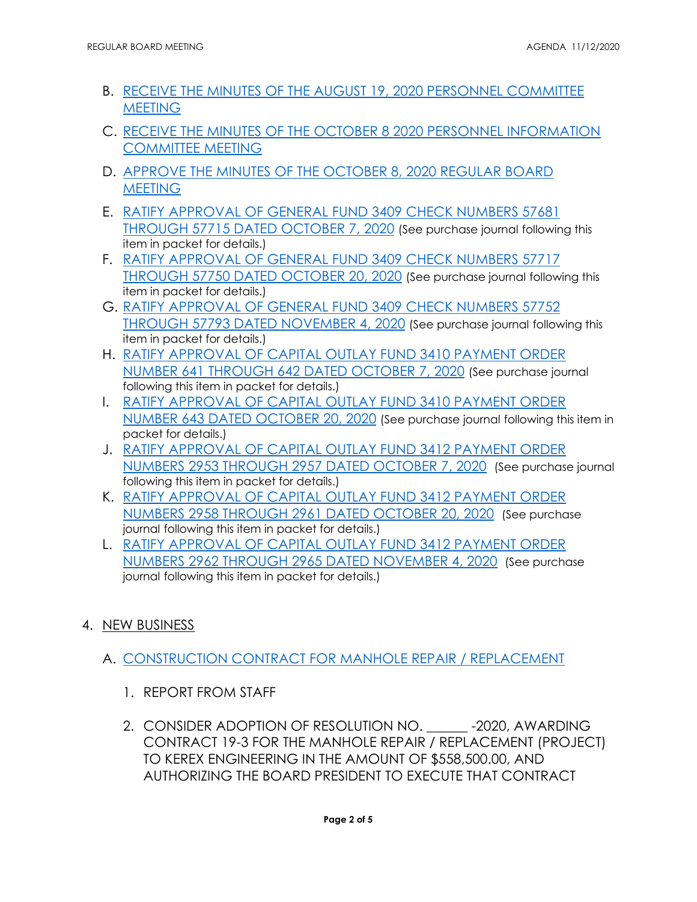- B. [RECEIVE THE MINUTES OF THE AUGUST 19, 2020 PERSONNEL COMMITTEE](https://mvsd.org/wp-content/uploads/2020/11/2020-11-12-ITEM-3B.pdf)  **MEETING**
- C. [RECEIVE THE MINUTES OF THE OCTOBER 8 2020 PERSONNEL INFORMATION](https://mvsd.org/wp-content/uploads/2020/11/2020-11-12-ITEM-3C.pdf)  [COMMITTEE MEETING](https://mvsd.org/wp-content/uploads/2020/11/2020-11-12-ITEM-3C.pdf)
- D. [APPROVE THE MINUTES OF THE OCTOBER 8, 2020 REGULAR BOARD](https://mvsd.org/wp-content/uploads/2020/11/ITEM-3D.pdf)  **MEETING**
- E. [RATIFY APPROVAL OF GENERAL FUND 3409 CHECK NUMBERS 57681](https://mvsd.org/wp-content/uploads/2020/11/2020-11-12-ITEM-3E.pdf)  [THROUGH 57715 DATED OCTOBER 7, 2020](https://mvsd.org/wp-content/uploads/2020/11/2020-11-12-ITEM-3E.pdf) (See purchase journal following this item in packet for details.)
- F. [RATIFY APPROVAL OF GENERAL FUND 3409 CHECK NUMBERS 57717](https://mvsd.org/wp-content/uploads/2020/11/2020-11-12-ITEM-3F.pdf)  [THROUGH 57750 DATED OCTOBER 20, 2020](https://mvsd.org/wp-content/uploads/2020/11/2020-11-12-ITEM-3F.pdf) (See purchase journal following this item in packet for details.)
- G. [RATIFY APPROVAL OF GENERAL FUND 3409 CHECK NUMBERS 57752](https://mvsd.org/wp-content/uploads/2020/11/2020-11-12-ITEM-3G.pdf)  [THROUGH 57793 DATED NOVEMBER 4, 2020](https://mvsd.org/wp-content/uploads/2020/11/2020-11-12-ITEM-3G.pdf) (See purchase journal following this item in packet for details.)
- H. [RATIFY APPROVAL OF CAPITAL OUTLAY FUND 3410 PAYMENT ORDER](https://mvsd.org/wp-content/uploads/2020/11/2020-11-12-ITEM-3H.pdf)  [NUMBER 641 THROUGH 642 DATED OCTOBER 7, 2020](https://mvsd.org/wp-content/uploads/2020/11/2020-11-12-ITEM-3H.pdf) (See purchase journal following this item in packet for details.)
- I. [RATIFY APPROVAL OF CAPITAL OUTLAY FUND 3410 PAYMENT ORDER](https://mvsd.org/wp-content/uploads/2020/11/2020-11-12-ITEM-3I.pdf)  [NUMBER 643 DATED OCTOBER 20, 2020](https://mvsd.org/wp-content/uploads/2020/11/2020-11-12-ITEM-3I.pdf) (See purchase journal following this item in packet for details.)
- [NUMBERS 2953 THROUGH 2957 DATED OCTOBER 7, 2020](https://mvsd.org/wp-content/uploads/2020/11/2020-11-12-ITEM-3J.pdf) (See purchase journal J. [RATIFY APPROVAL OF CAPITAL OUTLAY FUND 3412 PAYMENT ORDER](https://mvsd.org/wp-content/uploads/2020/11/2020-11-12-ITEM-3J.pdf)  following this item in packet for details.)
- [NUMBERS 2958 THROUGH 2961 DATED OCTOBER 20, 2020](https://mvsd.org/wp-content/uploads/2020/11/2020-11-12-ITEM-3K.pdf) (See purchase K. [RATIFY APPROVAL OF CAPITAL OUTLAY FUND 3412 PAYMENT ORDER](https://mvsd.org/wp-content/uploads/2020/11/2020-11-12-ITEM-3K.pdf)  journal following this item in packet for details.)
- [NUMBERS 2962 THROUGH 2965 DATED NOVEMBER 4, 2020](https://mvsd.org/wp-content/uploads/2020/11/2020-11-12-ITEM-3L.pdf) (See purchase L. [RATIFY APPROVAL OF CAPITAL OUTLAY FUND 3412 PAYMENT ORDER](https://mvsd.org/wp-content/uploads/2020/11/2020-11-12-ITEM-3L.pdf)  journal following this item in packet for details.)

## 4. NEW BUSINESS

- A. [CONSTRUCTION CONTRACT FOR MANHOLE REPAIR / REPLACEMENT](https://mvsd.org/wp-content/uploads/2020/11/2020-11-12-ITEM-4A.pdf) 
	- 1. REPORT FROM STAFF
	- 2. CONSIDER ADOPTION OF RESOLUTION NO. \_\_\_\_\_\_ -2020, AWARDING CONTRACT 19-3 FOR THE MANHOLE REPAIR / REPLACEMENT (PROJECT) TO KEREX ENGINEERING IN THE AMOUNT OF [\\$558,500.00](https://558,500.00), AND AUTHORIZING THE BOARD PRESIDENT TO EXECUTE THAT CONTRACT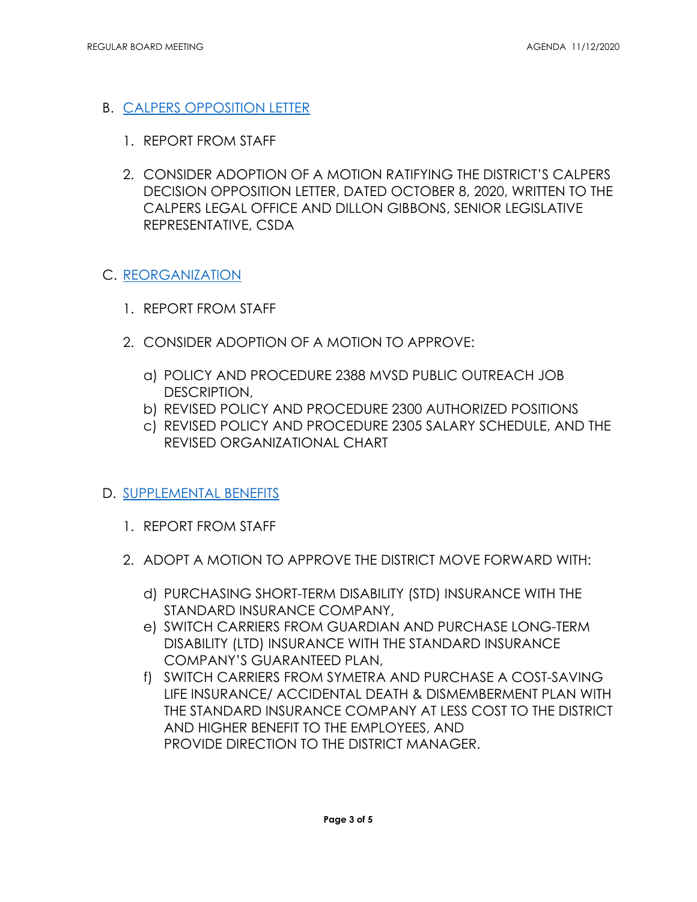# B. <u>CALPERS OPPOSITION LETTER</u><br>1. REPORT FROM STAFF

- 
- 2. CONSIDER ADOPTION OF A MOTION RATIFYING THE DISTRICT'S CALPERS DECISION OPPOSITION LETTER, DATED OCTOBER 8, 2020, WRITTEN TO THE CALPERS LEGAL OFFICE AND DILLON GIBBONS, SENIOR LEGISLATIVE REPRESENTATIVE, CSDA

#### C. [REORGANIZATION](https://mvsd.org/wp-content/uploads/2020/11/2020-11-12-ITEM-4C..pdf)

- 1. REPORT FROM STAFF
- 2. CONSIDER ADOPTION OF A MOTION TO APPROVE:
	- a) POLICY AND PROCEDURE 2388 MVSD PUBLIC OUTREACH JOB DESCRIPTION,
	- b) REVISED POLICY AND PROCEDURE 2300 AUTHORIZED POSITIONS
	- c) REVISED POLICY AND PROCEDURE 2305 SALARY SCHEDULE, AND THE REVISED ORGANIZATIONAL CHART

#### D. [SUPPLEMENTAL BENEFITS](https://mvsd.org/wp-content/uploads/2020/11/2020-11-12-ITEM-4D.pdf)

- 1. REPORT FROM STAFF
- 2. ADOPT A MOTION TO APPROVE THE DISTRICT MOVE FORWARD WITH:
	- d) PURCHASING SHORT-TERM DISABILITY (STD) INSURANCE WITH THE STANDARD INSURANCE COMPANY,
	- e) SWITCH CARRIERS FROM GUARDIAN AND PURCHASE LONG-TERM DISABILITY (LTD) INSURANCE WITH THE STANDARD INSURANCE COMPANY'S GUARANTEED PLAN,
	- f) SWITCH CARRIERS FROM SYMETRA AND PURCHASE A COST-SAVING LIFE INSURANCE/ ACCIDENTAL DEATH & DISMEMBERMENT PLAN WITH THE STANDARD INSURANCE COMPANY AT LESS COST TO THE DISTRICT AND HIGHER BENEFIT TO THE EMPLOYEES, AND PROVIDE DIRECTION TO THE DISTRICT MANAGER.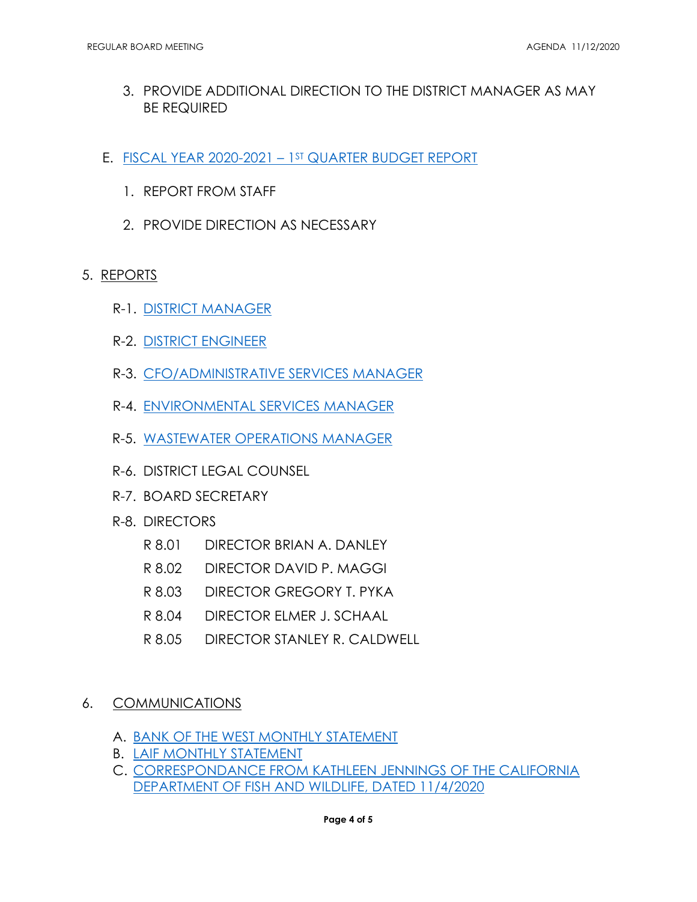- 3. PROVIDE ADDITIONAL DIRECTION TO THE DISTRICT MANAGER AS MAY BE REQUIRED
- E. FISCAL YEAR 2020-2021 1ST QUARTER BUDGET REPORT
	- 1. REPORT FROM STAFF
	- 2. PROVIDE DIRECTION AS NECESSARY

#### 5. REPORTS

- R-1. [DISTRICT MANAGER](https://mvsd.org/wp-content/uploads/2020/11/2020-11-12-ITEM-5R-1.pdf)
- R-2. [DISTRICT ENGINEER](https://mvsd.org/wp-content/uploads/2020/11/2020-11-12-ITEM-5R-2.pdf)
- R-3. [CFO/ADMINISTRATIVE SERVICES MANAGER](https://mvsd.org/wp-content/uploads/2020/11/2020-11-12-ITEM-5R-3.pdf)
- R-4. [ENVIRONMENTAL SERVICES MANAGER](https://mvsd.org/wp-content/uploads/2020/11/2020-11-12-ITEM-5R-4.pdf)
- R-5. [WASTEWATER OPERATIONS MANAGER](https://mvsd.org/wp-content/uploads/2020/11/2020-11-12-ITEM-5R-5.pdf)
- R-6. DISTRICT LEGAL COUNSEL
- R-7. BOARD SECRETARY
- R-8. DIRECTORS
	- R8.01 DIRECTOR BRIAN A. DANLEY
	- R 8.02 DIRECTOR DAVID P. MAGGI
	- R 8.03 DIRECTOR GREGORY T. PYKA
	- R 8.04 DIRECTOR ELMER J. SCHAAL
	- R 8.05 DIRECTOR STANLEY R. CALDWELL
- 6. COMMUNICATIONS
	- A. [BANK OF THE WEST MONTHLY STATEMENT](https://mvsd.org/wp-content/uploads/2020/11/2020-11-12-ITEM-6A.pdf)
	- B. [LAIF MONTHLY STATEMENT](https://mvsd.org/wp-content/uploads/2020/11/ITEM-6B.pdf)
	- C. [CORRESPONDANCE FROM KATHLEEN JENNINGS OF THE CALIFORNIA](https://mvsd.org/wp-content/uploads/2020/11/2020-11-12-ITEM-3C.pdf)  [DEPARTMENT OF FISH AND WILDLIFE, DATED 11/4/2020](https://mvsd.org/wp-content/uploads/2020/11/2020-11-12-ITEM-3C.pdf)